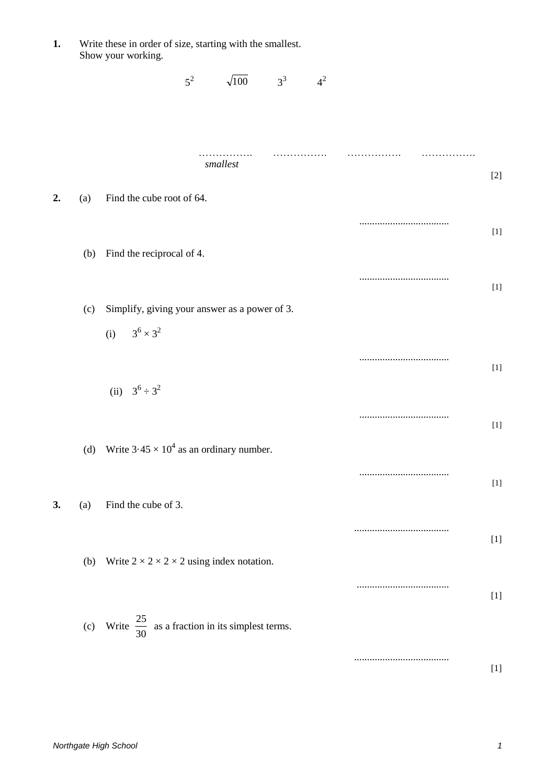**1.** Write these in order of size, starting with the smallest. Show your working.

|    |     |                                                                       | $5^2$ | $\sqrt{100}$ | $3^3$ | $4^2$ |                                                                                                                                                                                                                                                                                                                                                                                                                                                                                                                                                                                                                                                                                                                                                                                                                                                                                                                                  |
|----|-----|-----------------------------------------------------------------------|-------|--------------|-------|-------|----------------------------------------------------------------------------------------------------------------------------------------------------------------------------------------------------------------------------------------------------------------------------------------------------------------------------------------------------------------------------------------------------------------------------------------------------------------------------------------------------------------------------------------------------------------------------------------------------------------------------------------------------------------------------------------------------------------------------------------------------------------------------------------------------------------------------------------------------------------------------------------------------------------------------------|
|    |     |                                                                       |       | smallest     |       |       |                                                                                                                                                                                                                                                                                                                                                                                                                                                                                                                                                                                                                                                                                                                                                                                                                                                                                                                                  |
| 2. | (a) | Find the cube root of 64.                                             |       |              |       |       | $[2]$                                                                                                                                                                                                                                                                                                                                                                                                                                                                                                                                                                                                                                                                                                                                                                                                                                                                                                                            |
|    |     |                                                                       |       |              |       |       | $[1]$                                                                                                                                                                                                                                                                                                                                                                                                                                                                                                                                                                                                                                                                                                                                                                                                                                                                                                                            |
|    |     | (b) Find the reciprocal of 4.                                         |       |              |       |       | $[1] % \centering \includegraphics[width=0.9\columnwidth]{figures/fig_10.pdf} \caption{The figure shows the number of times of the number of times. The number of times in the right, the number of times in the right, the number of times in the right, the number of times in the right, the number of times in the right, the number of times in the right, the number of times in the right, the number of times in the right, the number of times in the right, the number of times in the right, the number of times in the right, the number of times in the right, the number of times in the right, the number of times in the right, the number of times in the right, the number of times in the right, the number of times in the right, the number of times in the right, the number of times in the right, the number of times in the right, the number of times in the right, the number of times in the right,$ |
|    | (c) | Simplify, giving your answer as a power of 3.<br>(i) $3^6 \times 3^2$ |       |              |       |       |                                                                                                                                                                                                                                                                                                                                                                                                                                                                                                                                                                                                                                                                                                                                                                                                                                                                                                                                  |
|    |     |                                                                       |       |              |       |       | $[1] % \centering \includegraphics[width=0.9\columnwidth]{figures/fig_10.pdf} \caption{The figure shows the number of times of the number of times. The number of times in the right, the number of times in the right, the number of times in the right, the number of times in the right, the number of times in the right, the number of times in the right, the number of times in the right, the number of times in the right, the number of times in the right, the number of times in the right, the number of times in the right, the number of times in the right, the number of times in the right, the number of times in the right, the number of times in the right, the number of times in the right, the number of times in the right, the number of times in the right, the number of times in the right, the number of times in the right, the number of times in the right, the number of times in the right,$ |
|    |     | (ii) $3^6 \div 3^2$                                                   |       |              |       |       | $[1] % \centering \includegraphics[width=0.9\columnwidth]{figures/fig_10.pdf} \caption{The figure shows the number of times of the number of times. The number of times in the right, the number of times in the right, the number of times in the right, the number of times in the right, the number of times in the right, the number of times in the right, the number of times in the right, the number of times in the right, the number of times in the right, the number of times in the right, the number of times in the right, the number of times in the right, the number of times in the right, the number of times in the right, the number of times in the right, the number of times in the right, the number of times in the right, the number of times in the right, the number of times in the right, the number of times in the right, the number of times in the right, the number of times in the right,$ |
|    |     | (d) Write $3.45 \times 10^4$ as an ordinary number.                   |       |              |       |       |                                                                                                                                                                                                                                                                                                                                                                                                                                                                                                                                                                                                                                                                                                                                                                                                                                                                                                                                  |
| 3. | (a) | Find the cube of 3.                                                   |       |              |       |       | $[1]$                                                                                                                                                                                                                                                                                                                                                                                                                                                                                                                                                                                                                                                                                                                                                                                                                                                                                                                            |
|    |     |                                                                       |       |              |       |       |                                                                                                                                                                                                                                                                                                                                                                                                                                                                                                                                                                                                                                                                                                                                                                                                                                                                                                                                  |
|    | (b) | Write $2 \times 2 \times 2 \times 2$ using index notation.            |       |              |       |       |                                                                                                                                                                                                                                                                                                                                                                                                                                                                                                                                                                                                                                                                                                                                                                                                                                                                                                                                  |
|    |     | (c) Write $\frac{25}{30}$ as a fraction in its simplest terms.        |       |              |       |       |                                                                                                                                                                                                                                                                                                                                                                                                                                                                                                                                                                                                                                                                                                                                                                                                                                                                                                                                  |
|    |     |                                                                       |       |              |       |       | $[1]$                                                                                                                                                                                                                                                                                                                                                                                                                                                                                                                                                                                                                                                                                                                                                                                                                                                                                                                            |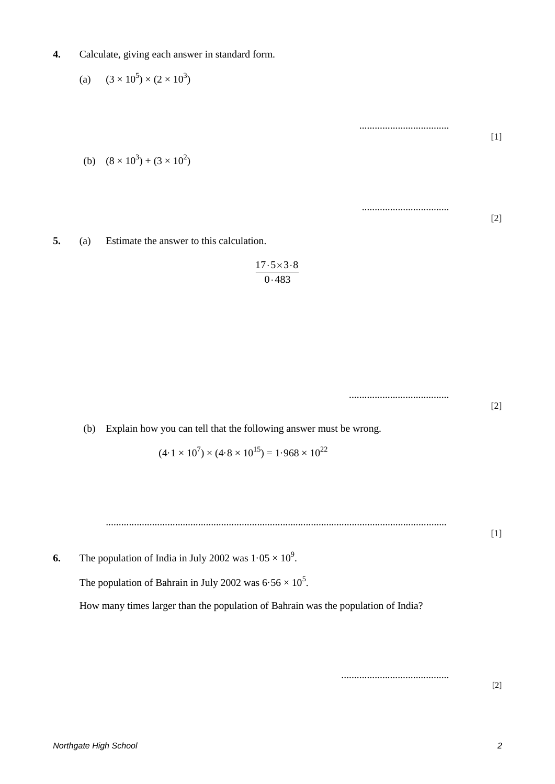**4.** Calculate, giving each answer in standard form.

(a)  $(3 \times 10^5) \times (2 \times 10^3)$ 

(b)  $(8 \times 10^3) + (3 \times 10^2)$ 

**5.** (a) Estimate the answer to this calculation.

$$
\frac{17 \cdot 5 \times 3 \cdot 8}{0 \cdot 483}
$$

.......................................

..........................................

...................................

..................................

[1]

[2]

[2]

(b) Explain how you can tell that the following answer must be wrong.

$$
(4.1 \times 10^7) \times (4.8 \times 10^{15}) = 1.968 \times 10^{22}
$$

..................................................................................................................................... [1]

**6.** The population of India in July 2002 was  $1.05 \times 10^9$ .

The population of Bahrain in July 2002 was  $6.56 \times 10^5$ .

How many times larger than the population of Bahrain was the population of India?

[2]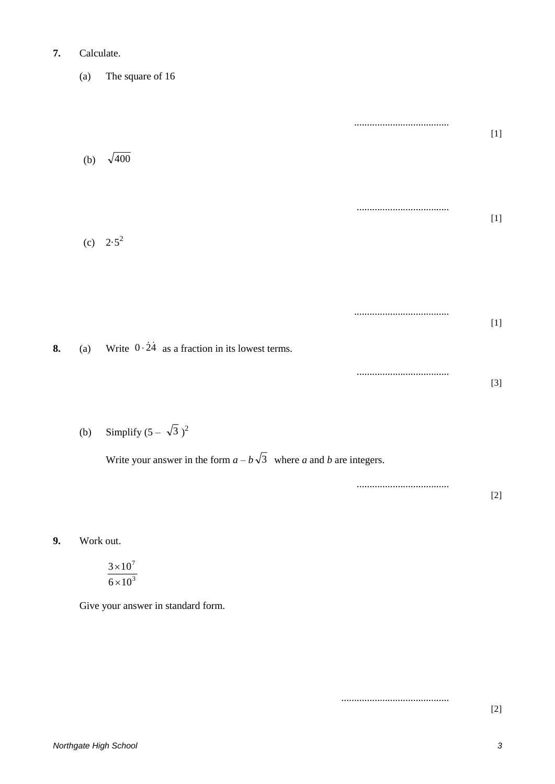## **7.** Calculate.

(a) The square of 16

..................................... [1] (b)  $\sqrt{400}$ .................................... [1] (c)  $2.5^2$ ..................................... [1] **8.** (a) Write  $0.\overline{24}$  as a fraction in its lowest terms.

(b) Simplify  $(5 - \sqrt{3})^2$ 

Write your answer in the form  $a - b\sqrt{3}$  where a and b are integers.

.................................... [2]

....................................

**9.** Work out.

$$
\frac{3\times10^7}{6\times10^3}
$$

Give your answer in standard form.

..........................................

[2]

[3]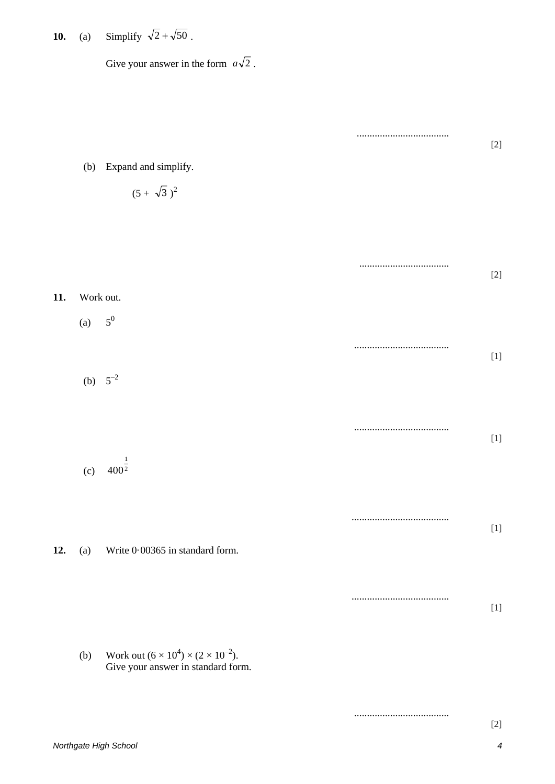**10.** (a) Simplify  $\sqrt{2} + \sqrt{50}$ .

Give your answer in the form  $a\sqrt{2}$ .

|     |           |                                                                                              | <br>$[2]$ |
|-----|-----------|----------------------------------------------------------------------------------------------|-----------|
|     |           | (b) Expand and simplify.                                                                     |           |
|     |           | $(5 + \sqrt{3})^2$                                                                           |           |
|     |           |                                                                                              |           |
|     |           |                                                                                              |           |
|     |           |                                                                                              | $[2]$     |
| 11. | Work out. |                                                                                              |           |
|     | (a)       | $\mathbf{5}^{0}$                                                                             |           |
|     |           |                                                                                              |           |
|     |           | (b) $5^{-2}$                                                                                 |           |
|     |           |                                                                                              |           |
|     |           |                                                                                              |           |
|     |           |                                                                                              |           |
|     |           | (c) $400^{\frac{1}{2}}$                                                                      |           |
|     |           |                                                                                              |           |
|     |           |                                                                                              |           |
| 12. | (a)       | Write 0.00365 in standard form.                                                              |           |
|     |           |                                                                                              |           |
|     |           |                                                                                              |           |
|     |           |                                                                                              |           |
|     | (b)       | Work out $(6 \times 10^4) \times (2 \times 10^{-2})$ .<br>Give your answer in standard form. |           |
|     |           |                                                                                              |           |

*Northgate High School 4*

[2]

.....................................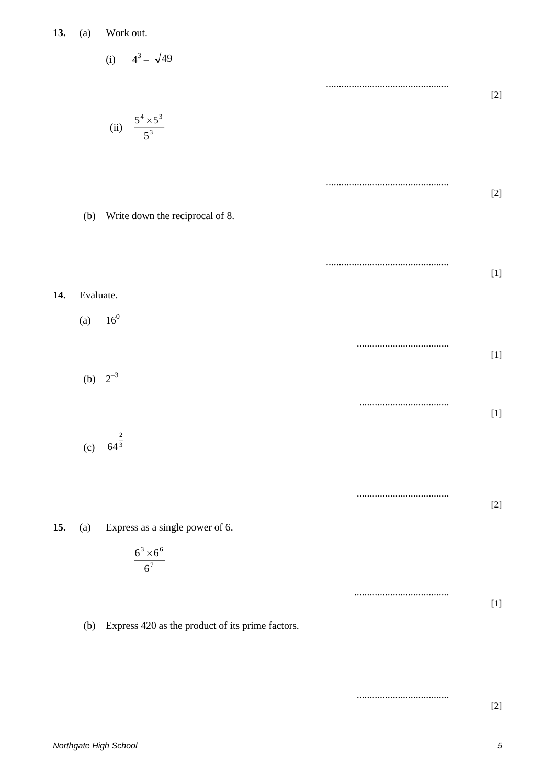**13.** (a) Work out.

13. (a) Work out.  
\n(i) 
$$
4^3 - \sqrt{49}
$$
  
\n(ii)  $\frac{5^4 \times 5^3}{5^3}$   
\n(i) Write down the reciprocal of 8.  
\n14. Evaluate.  
\n(a) 16<sup>0</sup>  
\n(b) 2<sup>-3</sup>  
\n(i) 2<sup>3</sup>  
\n(ii) 11  
\n(i) 3<sup>4</sup> - 5<sup>3</sup>  
\n(i) 5<sup>4</sup>  
\n(ii) 12  
\n(i) 5<sup>3</sup>  
\n(i) 11  
\n(ii) 11  
\n(i) 2<sup>-3</sup>  
\n(i) 11  
\n(ii) 2<sup>-3</sup>  
\n(iii) 11  
\n(i) 2<sup>-3</sup>  
\n(ii) 11  
\n(iii) 2<sup>-3</sup>  
\n(i) 2<sup>-3</sup>  
\n(iii) 11  
\n(ii) 2<sup>-3</sup>  
\n(iii) 11  
\n(iii) 2<sup>-3</sup>  
\n(ii) 2<sup>-1</sup>  
\n(iii) 2<sup>-1</sup>  
\n(i) 2<sup>-3</sup>  
\n(iii) 2<sup>-1</sup>  
\n(ii) 2<sup>-1</sup>  
\n(iii) 2<sup>-1</sup>  
\n(i) 3<sup>-1</sup>  
\n(ii) 11  
\n(iii) 2<sup>-1</sup>  
\n(i) 2<sup>-3</sup>  
\n(iii) 2<sup>-1</sup>  
\n(ii) 2<sup>-1</sup>  
\n(iii) 2<sup>-1</sup>  
\n(i) 2<sup>-3</sup>  
\n(iii) 2<sup>-1</sup>  
\n(iv) 2<sup>-3</sup>  
\n(v) 4<sup>3</sup>  
\n(v) 5<sup>2</sup>  
\n(v) 64<sup>3</sup>

**15.** (a) Express as a single power of 6.

$$
\frac{6^3 \times 6^6}{6^7}
$$

(b) Express 420 as the product of its prime factors.

.................................... [2]

....................................

.....................................

[2]

[1]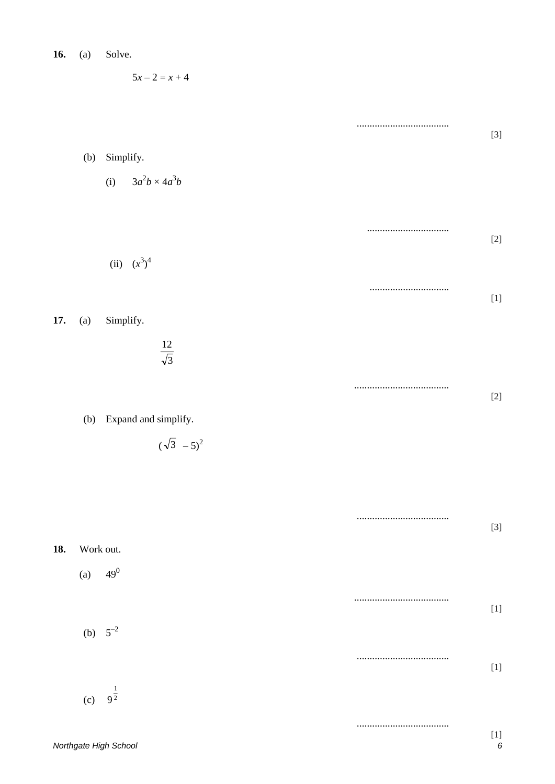| 16. | (a) | Solve. |
|-----|-----|--------|
|-----|-----|--------|

 $5x - 2 = x + 4$ 

|     |            |                             | <br>$[3]$                                                                                                                                                                                                                                                                                                                                                                                                                                                                                                                                                                                                                                                                                                                                                                                                                                                                                                                      |
|-----|------------|-----------------------------|--------------------------------------------------------------------------------------------------------------------------------------------------------------------------------------------------------------------------------------------------------------------------------------------------------------------------------------------------------------------------------------------------------------------------------------------------------------------------------------------------------------------------------------------------------------------------------------------------------------------------------------------------------------------------------------------------------------------------------------------------------------------------------------------------------------------------------------------------------------------------------------------------------------------------------|
|     | (b)        | Simplify.                   |                                                                                                                                                                                                                                                                                                                                                                                                                                                                                                                                                                                                                                                                                                                                                                                                                                                                                                                                |
|     |            | $3a^2b \times 4a^3b$<br>(i) |                                                                                                                                                                                                                                                                                                                                                                                                                                                                                                                                                                                                                                                                                                                                                                                                                                                                                                                                |
|     |            |                             |                                                                                                                                                                                                                                                                                                                                                                                                                                                                                                                                                                                                                                                                                                                                                                                                                                                                                                                                |
|     |            |                             | $[2]$                                                                                                                                                                                                                                                                                                                                                                                                                                                                                                                                                                                                                                                                                                                                                                                                                                                                                                                          |
|     |            | (ii) $(x^3)^4$              |                                                                                                                                                                                                                                                                                                                                                                                                                                                                                                                                                                                                                                                                                                                                                                                                                                                                                                                                |
|     |            |                             |                                                                                                                                                                                                                                                                                                                                                                                                                                                                                                                                                                                                                                                                                                                                                                                                                                                                                                                                |
| 17. | (a)        | Simplify.                   |                                                                                                                                                                                                                                                                                                                                                                                                                                                                                                                                                                                                                                                                                                                                                                                                                                                                                                                                |
|     |            | $\frac{12}{\sqrt{3}}$       |                                                                                                                                                                                                                                                                                                                                                                                                                                                                                                                                                                                                                                                                                                                                                                                                                                                                                                                                |
|     |            |                             | $[2]$                                                                                                                                                                                                                                                                                                                                                                                                                                                                                                                                                                                                                                                                                                                                                                                                                                                                                                                          |
|     |            | (b) Expand and simplify.    |                                                                                                                                                                                                                                                                                                                                                                                                                                                                                                                                                                                                                                                                                                                                                                                                                                                                                                                                |
|     |            | $(\sqrt{3} - 5)^2$          |                                                                                                                                                                                                                                                                                                                                                                                                                                                                                                                                                                                                                                                                                                                                                                                                                                                                                                                                |
|     |            |                             |                                                                                                                                                                                                                                                                                                                                                                                                                                                                                                                                                                                                                                                                                                                                                                                                                                                                                                                                |
|     |            |                             | $[3]$                                                                                                                                                                                                                                                                                                                                                                                                                                                                                                                                                                                                                                                                                                                                                                                                                                                                                                                          |
| 18. | Work out.  |                             |                                                                                                                                                                                                                                                                                                                                                                                                                                                                                                                                                                                                                                                                                                                                                                                                                                                                                                                                |
|     | (a) $49^0$ |                             |                                                                                                                                                                                                                                                                                                                                                                                                                                                                                                                                                                                                                                                                                                                                                                                                                                                                                                                                |
|     |            |                             |                                                                                                                                                                                                                                                                                                                                                                                                                                                                                                                                                                                                                                                                                                                                                                                                                                                                                                                                |
|     |            | (b) $5^{-2}$                |                                                                                                                                                                                                                                                                                                                                                                                                                                                                                                                                                                                                                                                                                                                                                                                                                                                                                                                                |
|     |            |                             | $[1] % \centering \includegraphics[width=0.9\columnwidth]{figures/fig_10.pdf} \caption{The average number of times of the estimators in the left and right. The blue number of times in the right, the red number of times in the right, the red number of times in the right, the red number of times in the right, the red number of times in the right, the red number of times in the right, the red number of times in the right, the red number of times in the right, the red number of times in the right, the red number of times in the right, the red number of times in the right, the red number of times in the right, the red number of times in the right, the red number of times in the right, the red number of times in the right, the red number of times in the right, the red number of times in the right, the red number of times in the right, the red number of times in the right, the red number$ |
|     | (c)        | $9^{\frac{1}{2}}$           |                                                                                                                                                                                                                                                                                                                                                                                                                                                                                                                                                                                                                                                                                                                                                                                                                                                                                                                                |
|     |            |                             |                                                                                                                                                                                                                                                                                                                                                                                                                                                                                                                                                                                                                                                                                                                                                                                                                                                                                                                                |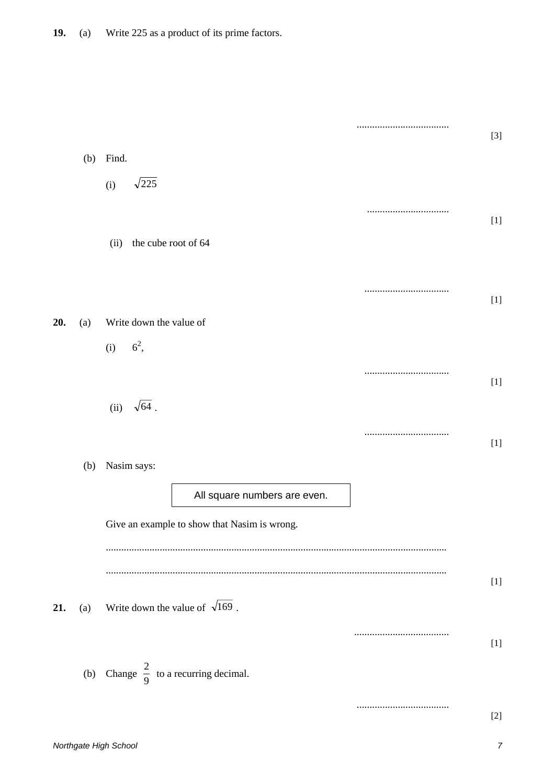|     |     |                                                  | $[3]$ |
|-----|-----|--------------------------------------------------|-------|
|     | (b) | Find.                                            |       |
|     |     | $\sqrt{225}$<br>(i)                              |       |
|     |     |                                                  | $[1]$ |
|     |     | the cube root of 64<br>(ii)                      |       |
|     |     |                                                  | $[1]$ |
| 20. | (a) | Write down the value of                          |       |
|     |     | $6^2$ ,<br>(i)                                   |       |
|     |     |                                                  | $[1]$ |
|     |     | (ii) $\sqrt{64}$ .                               |       |
|     |     |                                                  | $[1]$ |
|     | (b) | Nasim says:                                      |       |
|     |     | All square numbers are even.                     |       |
|     |     | Give an example to show that Nasim is wrong.     |       |
|     |     |                                                  |       |
|     |     |                                                  |       |
| 21. | (a) | Write down the value of $\sqrt{169}$ .           |       |
|     |     |                                                  |       |
|     |     | (b) Change $\frac{2}{9}$ to a recurring decimal. |       |
|     |     |                                                  | $[2]$ |
|     |     |                                                  |       |